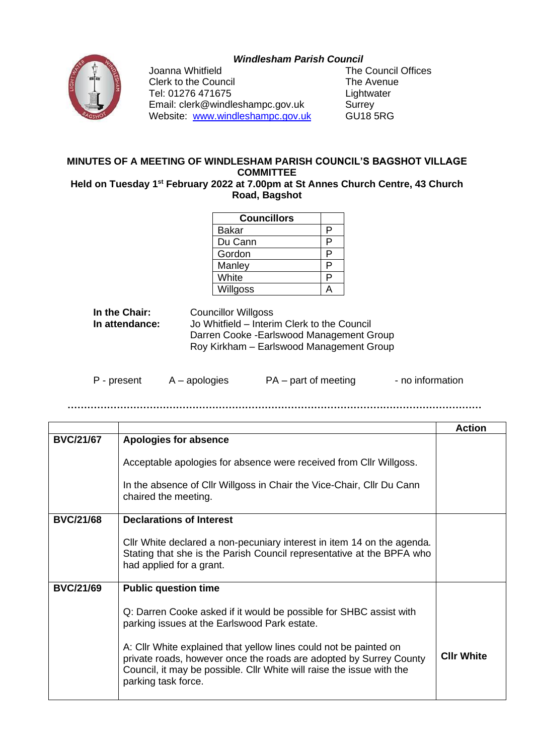## *Windlesham Parish Council*



Clerk to the Council **The Avenue** Tel: 01276 471675<br>
Email: clerk@windleshampc.gov.uk Surrey Email: clerk@windleshampc.gov.uk Surrey<br>
Website: www.windleshampc.gov.uk GU18 5RG Website: [www.windleshampc.gov.uk](http://www.windleshampc.gov.uk/)

Joanna Whitfield The Council Offices

## **MINUTES OF A MEETING OF WINDLESHAM PARISH COUNCIL'S BAGSHOT VILLAGE COMMITTEE**

**Held on Tuesday 1 st February 2022 at 7.00pm at St Annes Church Centre, 43 Church Road, Bagshot**

| <b>Councillors</b> |   |
|--------------------|---|
| Bakar              | P |
| Du Cann            | P |
| Gordon             | P |
| Manley             | P |
| White              | P |
| Willgoss           |   |

| In the Chair:  | <b>Councillor Willgoss</b>                  |
|----------------|---------------------------------------------|
| In attendance: | Jo Whitfield – Interim Clerk to the Council |
|                | Darren Cooke - Earlswood Management Group   |
|                | Roy Kirkham - Earlswood Management Group    |

| P - present | $A -$ apologies | PA – part of meeting | - no information |
|-------------|-----------------|----------------------|------------------|
|-------------|-----------------|----------------------|------------------|

**………………………………………………………………………………………………………………**

|                  |                                                                                                                                                                                                                                         | <b>Action</b>     |
|------------------|-----------------------------------------------------------------------------------------------------------------------------------------------------------------------------------------------------------------------------------------|-------------------|
| <b>BVC/21/67</b> | Apologies for absence                                                                                                                                                                                                                   |                   |
|                  | Acceptable apologies for absence were received from Cllr Willgoss.                                                                                                                                                                      |                   |
|                  | In the absence of Cllr Willgoss in Chair the Vice-Chair, Cllr Du Cann<br>chaired the meeting.                                                                                                                                           |                   |
| <b>BVC/21/68</b> | <b>Declarations of Interest</b>                                                                                                                                                                                                         |                   |
|                  | Cllr White declared a non-pecuniary interest in item 14 on the agenda.<br>Stating that she is the Parish Council representative at the BPFA who<br>had applied for a grant.                                                             |                   |
| <b>BVC/21/69</b> | <b>Public question time</b>                                                                                                                                                                                                             |                   |
|                  | Q: Darren Cooke asked if it would be possible for SHBC assist with<br>parking issues at the Earlswood Park estate.                                                                                                                      |                   |
|                  | A: Cllr White explained that yellow lines could not be painted on<br>private roads, however once the roads are adopted by Surrey County<br>Council, it may be possible. Cllr White will raise the issue with the<br>parking task force. | <b>CIIr White</b> |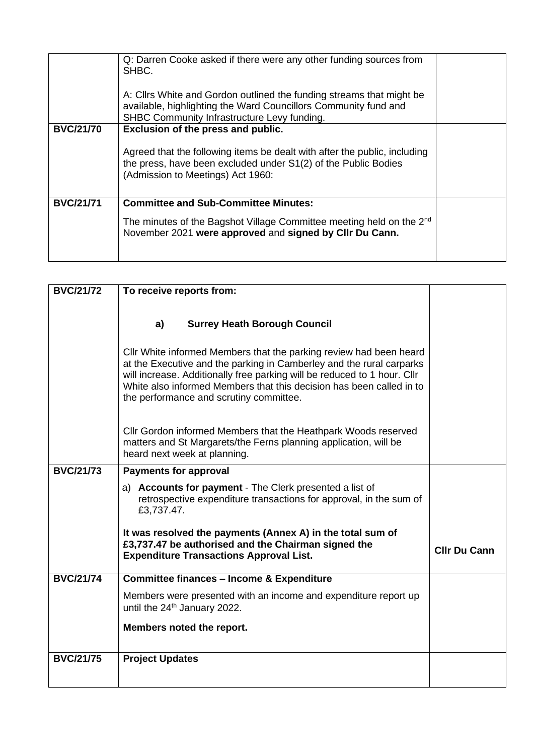|                  | Q: Darren Cooke asked if there were any other funding sources from<br>SHBC.<br>A: Cllrs White and Gordon outlined the funding streams that might be<br>available, highlighting the Ward Councillors Community fund and<br>SHBC Community Infrastructure Levy funding. |  |
|------------------|-----------------------------------------------------------------------------------------------------------------------------------------------------------------------------------------------------------------------------------------------------------------------|--|
| <b>BVC/21/70</b> | Exclusion of the press and public.<br>Agreed that the following items be dealt with after the public, including<br>the press, have been excluded under S1(2) of the Public Bodies<br>(Admission to Meetings) Act 1960:                                                |  |
| <b>BVC/21/71</b> | <b>Committee and Sub-Committee Minutes:</b><br>The minutes of the Bagshot Village Committee meeting held on the 2 <sup>nd</sup><br>November 2021 were approved and signed by Cllr Du Cann.                                                                            |  |

| <b>BVC/21/72</b> | To receive reports from:                                                                                                                                                                                                                                                                                                                  |                     |
|------------------|-------------------------------------------------------------------------------------------------------------------------------------------------------------------------------------------------------------------------------------------------------------------------------------------------------------------------------------------|---------------------|
|                  |                                                                                                                                                                                                                                                                                                                                           |                     |
|                  | <b>Surrey Heath Borough Council</b><br>a)                                                                                                                                                                                                                                                                                                 |                     |
|                  |                                                                                                                                                                                                                                                                                                                                           |                     |
|                  | CIIr White informed Members that the parking review had been heard<br>at the Executive and the parking in Camberley and the rural carparks<br>will increase. Additionally free parking will be reduced to 1 hour. Cllr<br>White also informed Members that this decision has been called in to<br>the performance and scrutiny committee. |                     |
|                  | Cllr Gordon informed Members that the Heathpark Woods reserved<br>matters and St Margarets/the Ferns planning application, will be<br>heard next week at planning.                                                                                                                                                                        |                     |
| <b>BVC/21/73</b> | <b>Payments for approval</b>                                                                                                                                                                                                                                                                                                              |                     |
|                  | a) Accounts for payment - The Clerk presented a list of<br>retrospective expenditure transactions for approval, in the sum of<br>£3,737.47.                                                                                                                                                                                               |                     |
|                  | It was resolved the payments (Annex A) in the total sum of<br>£3,737.47 be authorised and the Chairman signed the<br><b>Expenditure Transactions Approval List.</b>                                                                                                                                                                       | <b>CIIr Du Cann</b> |
| <b>BVC/21/74</b> | <b>Committee finances - Income &amp; Expenditure</b>                                                                                                                                                                                                                                                                                      |                     |
|                  | Members were presented with an income and expenditure report up<br>until the 24 <sup>th</sup> January 2022.                                                                                                                                                                                                                               |                     |
|                  | Members noted the report.                                                                                                                                                                                                                                                                                                                 |                     |
| <b>BVC/21/75</b> | <b>Project Updates</b>                                                                                                                                                                                                                                                                                                                    |                     |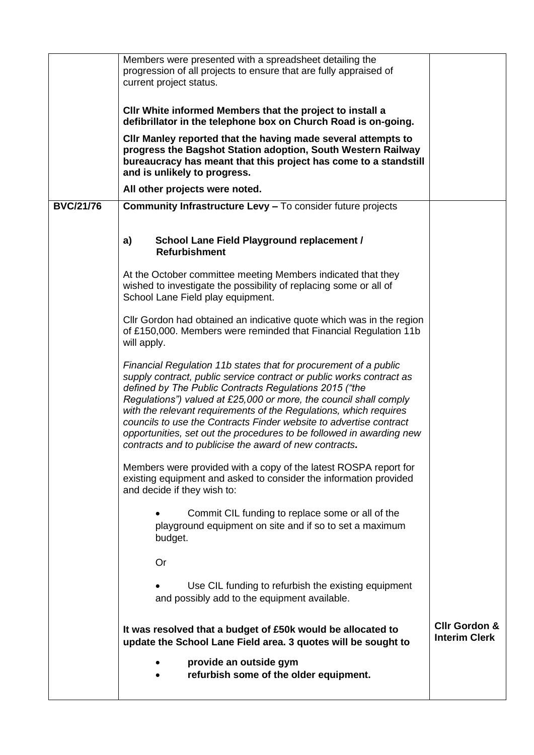|                  | Members were presented with a spreadsheet detailing the<br>progression of all projects to ensure that are fully appraised of<br>current project status.                                                                                                                                                                                                                                                                                                                                                                                              |                                                  |
|------------------|------------------------------------------------------------------------------------------------------------------------------------------------------------------------------------------------------------------------------------------------------------------------------------------------------------------------------------------------------------------------------------------------------------------------------------------------------------------------------------------------------------------------------------------------------|--------------------------------------------------|
|                  | CIIr White informed Members that the project to install a<br>defibrillator in the telephone box on Church Road is on-going.                                                                                                                                                                                                                                                                                                                                                                                                                          |                                                  |
|                  | Cllr Manley reported that the having made several attempts to<br>progress the Bagshot Station adoption, South Western Railway<br>bureaucracy has meant that this project has come to a standstill<br>and is unlikely to progress.                                                                                                                                                                                                                                                                                                                    |                                                  |
|                  | All other projects were noted.                                                                                                                                                                                                                                                                                                                                                                                                                                                                                                                       |                                                  |
| <b>BVC/21/76</b> | <b>Community Infrastructure Levy - To consider future projects</b>                                                                                                                                                                                                                                                                                                                                                                                                                                                                                   |                                                  |
|                  |                                                                                                                                                                                                                                                                                                                                                                                                                                                                                                                                                      |                                                  |
|                  | School Lane Field Playground replacement /<br>a)<br><b>Refurbishment</b>                                                                                                                                                                                                                                                                                                                                                                                                                                                                             |                                                  |
|                  | At the October committee meeting Members indicated that they<br>wished to investigate the possibility of replacing some or all of<br>School Lane Field play equipment.                                                                                                                                                                                                                                                                                                                                                                               |                                                  |
|                  | Cllr Gordon had obtained an indicative quote which was in the region<br>of £150,000. Members were reminded that Financial Regulation 11b<br>will apply.                                                                                                                                                                                                                                                                                                                                                                                              |                                                  |
|                  | Financial Regulation 11b states that for procurement of a public<br>supply contract, public service contract or public works contract as<br>defined by The Public Contracts Regulations 2015 ("the<br>Regulations") valued at £25,000 or more, the council shall comply<br>with the relevant requirements of the Regulations, which requires<br>councils to use the Contracts Finder website to advertise contract<br>opportunities, set out the procedures to be followed in awarding new<br>contracts and to publicise the award of new contracts. |                                                  |
|                  | Members were provided with a copy of the latest ROSPA report for<br>existing equipment and asked to consider the information provided<br>and decide if they wish to:                                                                                                                                                                                                                                                                                                                                                                                 |                                                  |
|                  | Commit CIL funding to replace some or all of the<br>playground equipment on site and if so to set a maximum<br>budget.                                                                                                                                                                                                                                                                                                                                                                                                                               |                                                  |
|                  | Or                                                                                                                                                                                                                                                                                                                                                                                                                                                                                                                                                   |                                                  |
|                  | Use CIL funding to refurbish the existing equipment<br>and possibly add to the equipment available.                                                                                                                                                                                                                                                                                                                                                                                                                                                  |                                                  |
|                  | It was resolved that a budget of £50k would be allocated to<br>update the School Lane Field area. 3 quotes will be sought to                                                                                                                                                                                                                                                                                                                                                                                                                         | <b>Cllr Gordon &amp;</b><br><b>Interim Clerk</b> |
|                  | provide an outside gym<br>refurbish some of the older equipment.                                                                                                                                                                                                                                                                                                                                                                                                                                                                                     |                                                  |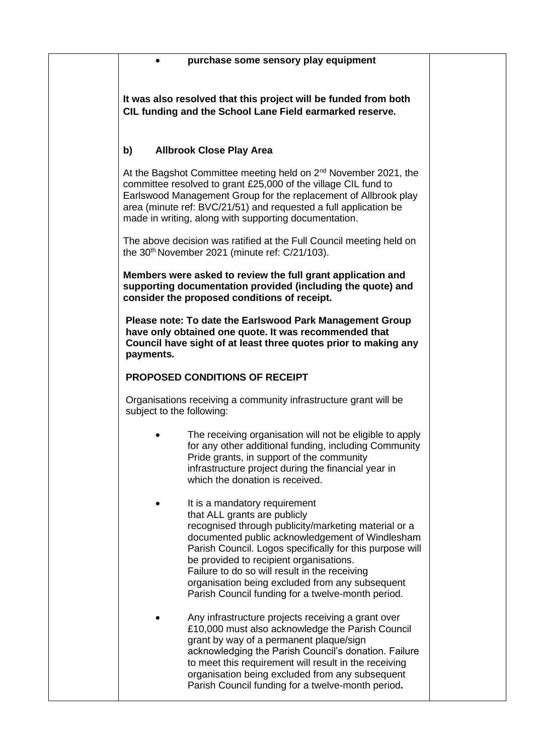|                           | purchase some sensory play equipment                                                                                                                                                                                                                                                                                                                                                                                                     |
|---------------------------|------------------------------------------------------------------------------------------------------------------------------------------------------------------------------------------------------------------------------------------------------------------------------------------------------------------------------------------------------------------------------------------------------------------------------------------|
|                           | It was also resolved that this project will be funded from both<br>CIL funding and the School Lane Field earmarked reserve.                                                                                                                                                                                                                                                                                                              |
| b)                        | <b>Allbrook Close Play Area</b>                                                                                                                                                                                                                                                                                                                                                                                                          |
|                           | At the Bagshot Committee meeting held on 2 <sup>nd</sup> November 2021, the<br>committee resolved to grant £25,000 of the village CIL fund to<br>Earlswood Management Group for the replacement of Allbrook play<br>area (minute ref: BVC/21/51) and requested a full application be<br>made in writing, along with supporting documentation.                                                                                            |
|                           | The above decision was ratified at the Full Council meeting held on<br>the 30 <sup>th</sup> November 2021 (minute ref: C/21/103).                                                                                                                                                                                                                                                                                                        |
|                           | Members were asked to review the full grant application and<br>supporting documentation provided (including the quote) and<br>consider the proposed conditions of receipt.                                                                                                                                                                                                                                                               |
| payments.                 | Please note: To date the Earlswood Park Management Group<br>have only obtained one quote. It was recommended that<br>Council have sight of at least three quotes prior to making any                                                                                                                                                                                                                                                     |
|                           | <b>PROPOSED CONDITIONS OF RECEIPT</b>                                                                                                                                                                                                                                                                                                                                                                                                    |
| subject to the following: | Organisations receiving a community infrastructure grant will be                                                                                                                                                                                                                                                                                                                                                                         |
|                           | The receiving organisation will not be eligible to apply<br>for any other additional funding, including Community<br>Pride grants, in support of the community<br>infrastructure project during the financial year in<br>which the donation is received.                                                                                                                                                                                 |
|                           | It is a mandatory requirement<br>that ALL grants are publicly<br>recognised through publicity/marketing material or a<br>documented public acknowledgement of Windlesham<br>Parish Council. Logos specifically for this purpose will<br>be provided to recipient organisations.<br>Failure to do so will result in the receiving<br>organisation being excluded from any subsequent<br>Parish Council funding for a twelve-month period. |
|                           | Any infrastructure projects receiving a grant over<br>£10,000 must also acknowledge the Parish Council<br>grant by way of a permanent plaque/sign<br>acknowledging the Parish Council's donation. Failure<br>to meet this requirement will result in the receiving<br>organisation being excluded from any subsequent<br>Parish Council funding for a twelve-month period.                                                               |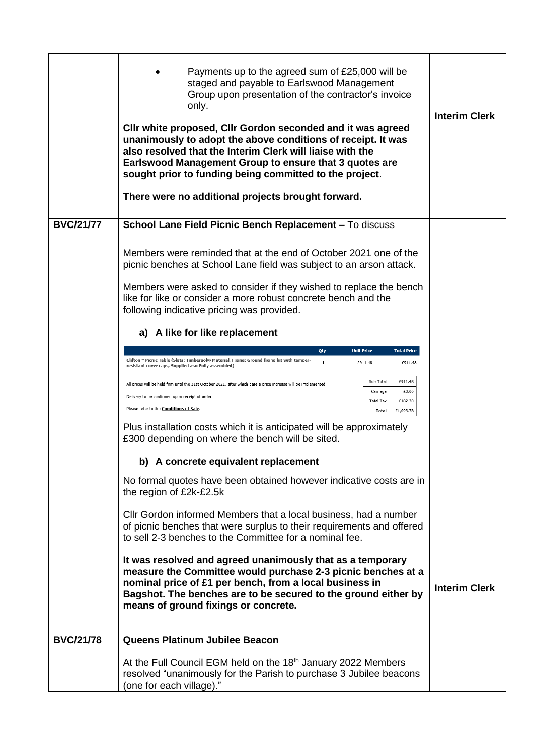|                  | Payments up to the agreed sum of £25,000 will be<br>staged and payable to Earlswood Management<br>Group upon presentation of the contractor's invoice<br>only.<br>Cllr white proposed, Cllr Gordon seconded and it was agreed<br>unanimously to adopt the above conditions of receipt. It was<br>also resolved that the Interim Clerk will liaise with the<br>Earlswood Management Group to ensure that 3 quotes are<br>sought prior to funding being committed to the project.<br>There were no additional projects brought forward. | <b>Interim Clerk</b> |
|------------------|---------------------------------------------------------------------------------------------------------------------------------------------------------------------------------------------------------------------------------------------------------------------------------------------------------------------------------------------------------------------------------------------------------------------------------------------------------------------------------------------------------------------------------------|----------------------|
| <b>BVC/21/77</b> | School Lane Field Picnic Bench Replacement - To discuss                                                                                                                                                                                                                                                                                                                                                                                                                                                                               |                      |
|                  | Members were reminded that at the end of October 2021 one of the<br>picnic benches at School Lane field was subject to an arson attack.                                                                                                                                                                                                                                                                                                                                                                                               |                      |
|                  | Members were asked to consider if they wished to replace the bench<br>like for like or consider a more robust concrete bench and the<br>following indicative pricing was provided.                                                                                                                                                                                                                                                                                                                                                    |                      |
|                  | a) A like for like replacement                                                                                                                                                                                                                                                                                                                                                                                                                                                                                                        |                      |
|                  | <b>Unit Price</b><br><b>Total Price</b><br>Qty                                                                                                                                                                                                                                                                                                                                                                                                                                                                                        |                      |
|                  | Clifton™ Picnic Table (Slats: Timberpol® Material, Fixing: Ground fixing kit with tamper-<br>$\mathbf 1$<br>£911.48<br>£911.48<br>resistant cover caps, Supplied as:: Fully assembled)                                                                                                                                                                                                                                                                                                                                                |                      |
|                  | Sub Total<br>£911.48<br>All prices will be held firm until the 31st October 2021, after which date a price increase will be implemented.<br>£0.00<br>Carriage<br>Delivery to be confirmed upon receipt of order.<br><b>Total Tax</b><br>£182.30<br>Please refer to the Conditions of Sale.<br>Total<br>£1,093.78                                                                                                                                                                                                                      |                      |
|                  | Plus installation costs which it is anticipated will be approximately<br>£300 depending on where the bench will be sited.                                                                                                                                                                                                                                                                                                                                                                                                             |                      |
|                  | b) A concrete equivalent replacement                                                                                                                                                                                                                                                                                                                                                                                                                                                                                                  |                      |
|                  | No formal quotes have been obtained however indicative costs are in<br>the region of £2k-£2.5k                                                                                                                                                                                                                                                                                                                                                                                                                                        |                      |
|                  | Cllr Gordon informed Members that a local business, had a number<br>of picnic benches that were surplus to their requirements and offered<br>to sell 2-3 benches to the Committee for a nominal fee.                                                                                                                                                                                                                                                                                                                                  |                      |
|                  | It was resolved and agreed unanimously that as a temporary<br>measure the Committee would purchase 2-3 picnic benches at a<br>nominal price of £1 per bench, from a local business in<br>Bagshot. The benches are to be secured to the ground either by<br>means of ground fixings or concrete.                                                                                                                                                                                                                                       | <b>Interim Clerk</b> |
| <b>BVC/21/78</b> | Queens Platinum Jubilee Beacon                                                                                                                                                                                                                                                                                                                                                                                                                                                                                                        |                      |
|                  | At the Full Council EGM held on the 18 <sup>th</sup> January 2022 Members<br>resolved "unanimously for the Parish to purchase 3 Jubilee beacons<br>(one for each village)."                                                                                                                                                                                                                                                                                                                                                           |                      |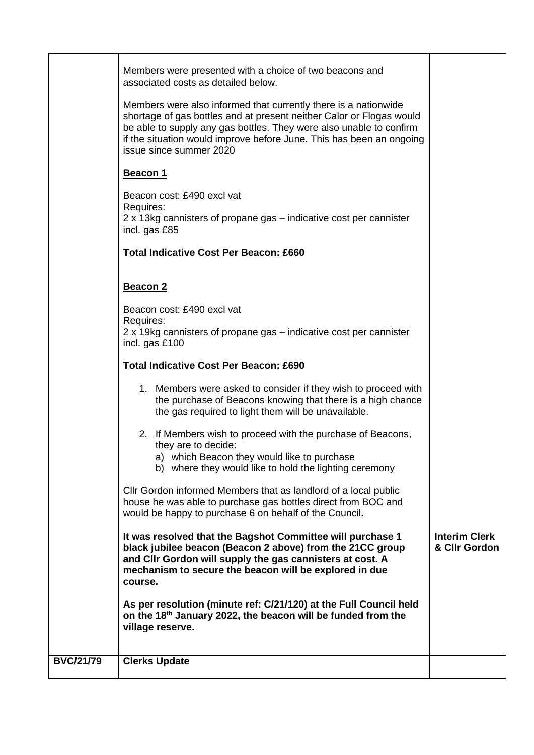| Members were presented with a choice of two beacons and<br>associated costs as detailed below.<br>Members were also informed that currently there is a nationwide<br>shortage of gas bottles and at present neither Calor or Flogas would<br>be able to supply any gas bottles. They were also unable to confirm<br>if the situation would improve before June. This has been an ongoing<br>issue since summer 2020<br>Beacon 1<br>Beacon cost: £490 excl vat<br>Requires:<br>2 x 13kg cannisters of propane gas – indicative cost per cannister<br>incl. gas £85<br><b>Total Indicative Cost Per Beacon: £660</b><br>Beacon 2 |  |
|--------------------------------------------------------------------------------------------------------------------------------------------------------------------------------------------------------------------------------------------------------------------------------------------------------------------------------------------------------------------------------------------------------------------------------------------------------------------------------------------------------------------------------------------------------------------------------------------------------------------------------|--|
|                                                                                                                                                                                                                                                                                                                                                                                                                                                                                                                                                                                                                                |  |
|                                                                                                                                                                                                                                                                                                                                                                                                                                                                                                                                                                                                                                |  |
|                                                                                                                                                                                                                                                                                                                                                                                                                                                                                                                                                                                                                                |  |
|                                                                                                                                                                                                                                                                                                                                                                                                                                                                                                                                                                                                                                |  |
|                                                                                                                                                                                                                                                                                                                                                                                                                                                                                                                                                                                                                                |  |
| Beacon cost: £490 excl vat                                                                                                                                                                                                                                                                                                                                                                                                                                                                                                                                                                                                     |  |
| Requires:<br>2 x 19kg cannisters of propane gas – indicative cost per cannister<br>incl. gas £100                                                                                                                                                                                                                                                                                                                                                                                                                                                                                                                              |  |
| <b>Total Indicative Cost Per Beacon: £690</b>                                                                                                                                                                                                                                                                                                                                                                                                                                                                                                                                                                                  |  |
| 1. Members were asked to consider if they wish to proceed with<br>the purchase of Beacons knowing that there is a high chance<br>the gas required to light them will be unavailable.                                                                                                                                                                                                                                                                                                                                                                                                                                           |  |
| 2. If Members wish to proceed with the purchase of Beacons,<br>they are to decide:<br>a) which Beacon they would like to purchase<br>b) where they would like to hold the lighting ceremony                                                                                                                                                                                                                                                                                                                                                                                                                                    |  |
| Cllr Gordon informed Members that as landlord of a local public<br>house he was able to purchase gas bottles direct from BOC and<br>would be happy to purchase 6 on behalf of the Council.                                                                                                                                                                                                                                                                                                                                                                                                                                     |  |
| <b>Interim Clerk</b><br>It was resolved that the Bagshot Committee will purchase 1<br>black jubilee beacon (Beacon 2 above) from the 21CC group<br>& Cllr Gordon<br>and Cllr Gordon will supply the gas cannisters at cost. A<br>mechanism to secure the beacon will be explored in due<br>course.                                                                                                                                                                                                                                                                                                                             |  |
| As per resolution (minute ref: C/21/120) at the Full Council held<br>on the 18th January 2022, the beacon will be funded from the                                                                                                                                                                                                                                                                                                                                                                                                                                                                                              |  |
| village reserve.                                                                                                                                                                                                                                                                                                                                                                                                                                                                                                                                                                                                               |  |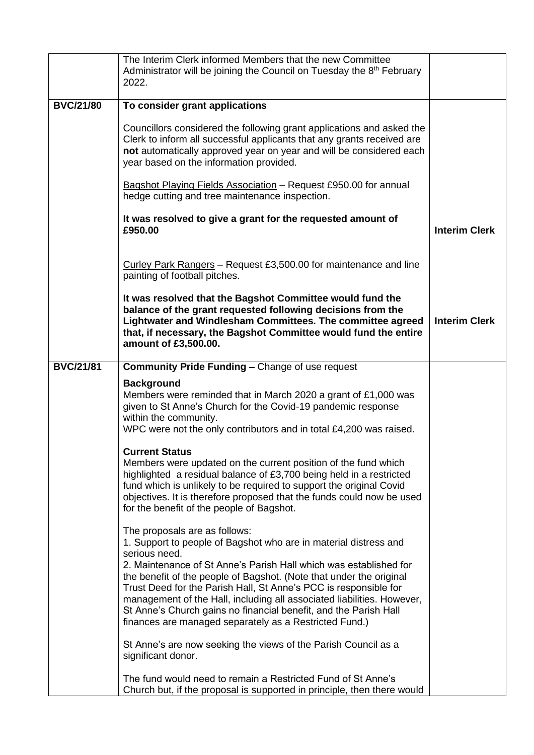|                  | The Interim Clerk informed Members that the new Committee<br>Administrator will be joining the Council on Tuesday the 8 <sup>th</sup> February<br>2022.                                                                                                                                                                                                                                                                                                                                                                                    |                      |
|------------------|--------------------------------------------------------------------------------------------------------------------------------------------------------------------------------------------------------------------------------------------------------------------------------------------------------------------------------------------------------------------------------------------------------------------------------------------------------------------------------------------------------------------------------------------|----------------------|
| <b>BVC/21/80</b> | To consider grant applications                                                                                                                                                                                                                                                                                                                                                                                                                                                                                                             |                      |
|                  | Councillors considered the following grant applications and asked the<br>Clerk to inform all successful applicants that any grants received are<br>not automatically approved year on year and will be considered each<br>year based on the information provided.                                                                                                                                                                                                                                                                          |                      |
|                  | Bagshot Playing Fields Association - Request £950.00 for annual<br>hedge cutting and tree maintenance inspection.                                                                                                                                                                                                                                                                                                                                                                                                                          |                      |
|                  | It was resolved to give a grant for the requested amount of<br>£950.00                                                                                                                                                                                                                                                                                                                                                                                                                                                                     | <b>Interim Clerk</b> |
|                  | Curley Park Rangers - Request £3,500.00 for maintenance and line<br>painting of football pitches.                                                                                                                                                                                                                                                                                                                                                                                                                                          |                      |
|                  | It was resolved that the Bagshot Committee would fund the<br>balance of the grant requested following decisions from the<br>Lightwater and Windlesham Committees. The committee agreed<br>that, if necessary, the Bagshot Committee would fund the entire<br>amount of £3,500.00.                                                                                                                                                                                                                                                          | <b>Interim Clerk</b> |
| <b>BVC/21/81</b> | <b>Community Pride Funding - Change of use request</b>                                                                                                                                                                                                                                                                                                                                                                                                                                                                                     |                      |
|                  | <b>Background</b><br>Members were reminded that in March 2020 a grant of £1,000 was<br>given to St Anne's Church for the Covid-19 pandemic response<br>within the community.<br>WPC were not the only contributors and in total £4,200 was raised.                                                                                                                                                                                                                                                                                         |                      |
|                  | <b>Current Status</b><br>Members were updated on the current position of the fund which<br>highlighted a residual balance of £3,700 being held in a restricted<br>fund which is unlikely to be required to support the original Covid<br>objectives. It is therefore proposed that the funds could now be used<br>for the benefit of the people of Bagshot.                                                                                                                                                                                |                      |
|                  | The proposals are as follows:<br>1. Support to people of Bagshot who are in material distress and<br>serious need.<br>2. Maintenance of St Anne's Parish Hall which was established for<br>the benefit of the people of Bagshot. (Note that under the original<br>Trust Deed for the Parish Hall, St Anne's PCC is responsible for<br>management of the Hall, including all associated liabilities. However,<br>St Anne's Church gains no financial benefit, and the Parish Hall<br>finances are managed separately as a Restricted Fund.) |                      |
|                  | St Anne's are now seeking the views of the Parish Council as a<br>significant donor.                                                                                                                                                                                                                                                                                                                                                                                                                                                       |                      |
|                  | The fund would need to remain a Restricted Fund of St Anne's<br>Church but, if the proposal is supported in principle, then there would                                                                                                                                                                                                                                                                                                                                                                                                    |                      |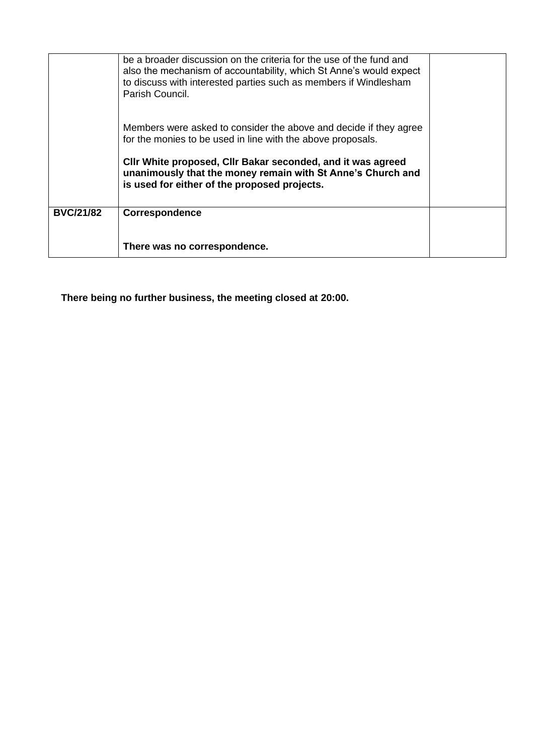|                  | be a broader discussion on the criteria for the use of the fund and<br>also the mechanism of accountability, which St Anne's would expect<br>to discuss with interested parties such as members if Windlesham<br>Parish Council. |  |
|------------------|----------------------------------------------------------------------------------------------------------------------------------------------------------------------------------------------------------------------------------|--|
|                  | Members were asked to consider the above and decide if they agree<br>for the monies to be used in line with the above proposals.                                                                                                 |  |
|                  | CIIr White proposed, CIIr Bakar seconded, and it was agreed<br>unanimously that the money remain with St Anne's Church and<br>is used for either of the proposed projects.                                                       |  |
| <b>BVC/21/82</b> | <b>Correspondence</b>                                                                                                                                                                                                            |  |
|                  | There was no correspondence.                                                                                                                                                                                                     |  |

**There being no further business, the meeting closed at 20:00.**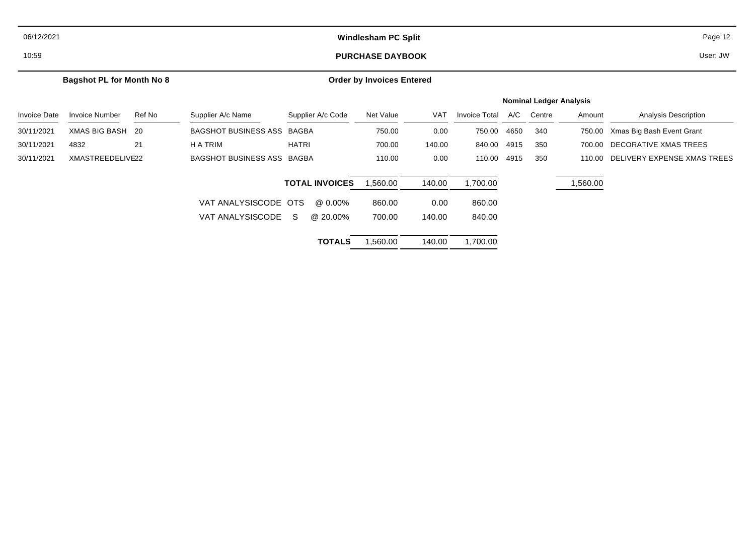| 06/12/2021          |                                  |        | <b>Windlesham PC Split</b> |              |                       |                                  |            |                                |      |        | Page 12  |                             |  |  |
|---------------------|----------------------------------|--------|----------------------------|--------------|-----------------------|----------------------------------|------------|--------------------------------|------|--------|----------|-----------------------------|--|--|
| 10:59               |                                  |        |                            |              |                       | <b>PURCHASE DAYBOOK</b>          |            |                                |      |        |          | User: JW                    |  |  |
|                     | <b>Bagshot PL for Month No 8</b> |        |                            |              |                       | <b>Order by Invoices Entered</b> |            |                                |      |        |          |                             |  |  |
|                     |                                  |        |                            |              |                       |                                  |            | <b>Nominal Ledger Analysis</b> |      |        |          |                             |  |  |
| <b>Invoice Date</b> | <b>Invoice Number</b>            | Ref No | Supplier A/c Name          |              | Supplier A/c Code     | Net Value                        | <b>VAT</b> | <b>Invoice Total</b>           | A/C  | Centre | Amount   | Analysis Description        |  |  |
| 30/11/2021          | <b>XMAS BIG BASH</b>             | - 20   | BAGSHOT BUSINESS ASS BAGBA |              |                       | 750.00                           | 0.00       | 750.00                         | 4650 | 340    | 750.00   | Xmas Big Bash Event Grant   |  |  |
| 30/11/2021          | 4832                             | 21     | H A TRIM                   | <b>HATRI</b> |                       | 700.00                           | 140.00     | 840.00                         | 4915 | 350    | 700.00   | DECORATIVE XMAS TREES       |  |  |
| 30/11/2021          | XMASTREEDELIVE22                 |        | BAGSHOT BUSINESS ASS BAGBA |              |                       | 110.00                           | 0.00       | 110.00                         | 4915 | 350    | 110.00   | DELIVERY EXPENSE XMAS TREES |  |  |
|                     |                                  |        |                            |              | <b>TOTAL INVOICES</b> | ,560.00                          | 140.00     | 1,700.00                       |      |        | 1,560.00 |                             |  |  |
|                     |                                  |        | VAT ANALYSISCODE OTS       |              | @ 0.00%               | 860.00                           | 0.00       | 860.00                         |      |        |          |                             |  |  |
|                     |                                  |        | VAT ANALYSISCODE           | S.           | @ 20.00%              | 700.00                           | 140.00     | 840.00                         |      |        |          |                             |  |  |
|                     |                                  |        |                            |              | <b>TOTALS</b>         | .560.00                          | 140.00     | 1,700.00                       |      |        |          |                             |  |  |